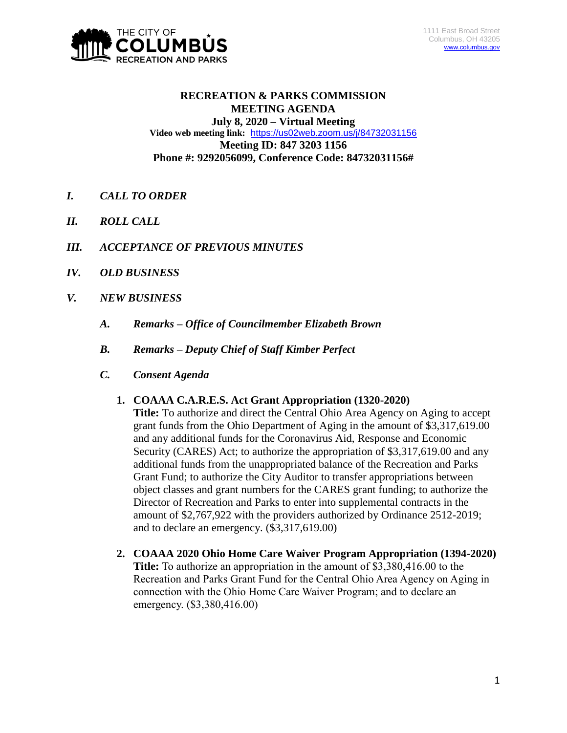

# **RECREATION & PARKS COMMISSION MEETING AGENDA July 8, 2020 – Virtual Meeting Video web meeting link:** <https://us02web.zoom.us/j/84732031156> **Meeting ID: 847 3203 1156 Phone #: 9292056099, Conference Code: 84732031156#**

- *I. CALL TO ORDER*
- *II. ROLL CALL*
- *III. ACCEPTANCE OF PREVIOUS MINUTES*
- *IV. OLD BUSINESS*
- *V. NEW BUSINESS*
	- *A. Remarks – Office of Councilmember Elizabeth Brown*
	- *B. Remarks – Deputy Chief of Staff Kimber Perfect*
	- *C. Consent Agenda*

## **1. COAAA C.A.R.E.S. Act Grant Appropriation (1320-2020)**

**Title:** To authorize and direct the Central Ohio Area Agency on Aging to accept grant funds from the Ohio Department of Aging in the amount of \$3,317,619.00 and any additional funds for the Coronavirus Aid, Response and Economic Security (CARES) Act; to authorize the appropriation of \$3,317,619.00 and any additional funds from the unappropriated balance of the Recreation and Parks Grant Fund; to authorize the City Auditor to transfer appropriations between object classes and grant numbers for the CARES grant funding; to authorize the Director of Recreation and Parks to enter into supplemental contracts in the amount of \$2,767,922 with the providers authorized by Ordinance 2512-2019; and to declare an emergency. (\$3,317,619.00)

**2. COAAA 2020 Ohio Home Care Waiver Program Appropriation (1394-2020) Title:** To authorize an appropriation in the amount of \$3,380,416.00 to the Recreation and Parks Grant Fund for the Central Ohio Area Agency on Aging in connection with the Ohio Home Care Waiver Program; and to declare an emergency. (\$3,380,416.00)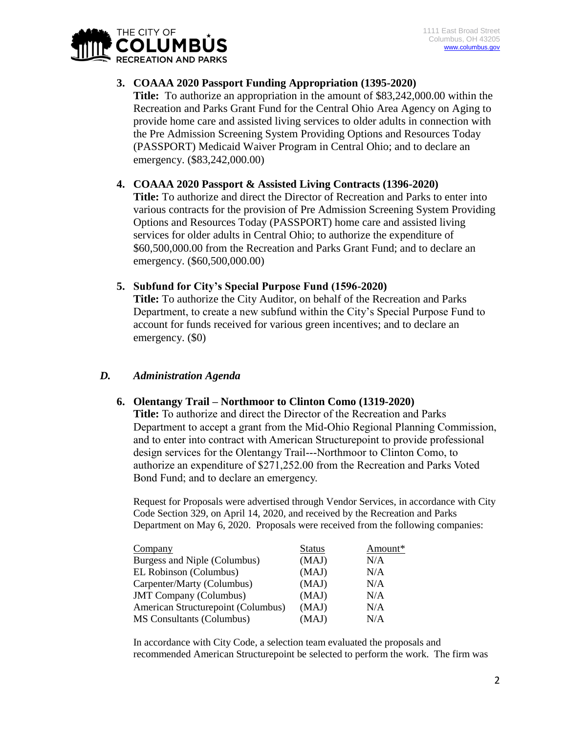

## **3. COAAA 2020 Passport Funding Appropriation (1395-2020)**

**Title:** To authorize an appropriation in the amount of \$83,242,000.00 within the Recreation and Parks Grant Fund for the Central Ohio Area Agency on Aging to provide home care and assisted living services to older adults in connection with the Pre Admission Screening System Providing Options and Resources Today (PASSPORT) Medicaid Waiver Program in Central Ohio; and to declare an emergency. (\$83,242,000.00)

#### **4. COAAA 2020 Passport & Assisted Living Contracts (1396-2020)**

**Title:** To authorize and direct the Director of Recreation and Parks to enter into various contracts for the provision of Pre Admission Screening System Providing Options and Resources Today (PASSPORT) home care and assisted living services for older adults in Central Ohio; to authorize the expenditure of \$60,500,000.00 from the Recreation and Parks Grant Fund; and to declare an emergency. (\$60,500,000.00)

#### **5. Subfund for City's Special Purpose Fund (1596-2020)**

**Title:** To authorize the City Auditor, on behalf of the Recreation and Parks Department, to create a new subfund within the City's Special Purpose Fund to account for funds received for various green incentives; and to declare an emergency. (\$0)

## *D. Administration Agenda*

## **6. Olentangy Trail – Northmoor to Clinton Como (1319-2020)**

**Title:** To authorize and direct the Director of the Recreation and Parks Department to accept a grant from the Mid-Ohio Regional Planning Commission, and to enter into contract with American Structurepoint to provide professional design services for the Olentangy Trail---Northmoor to Clinton Como, to authorize an expenditure of \$271,252.00 from the Recreation and Parks Voted Bond Fund; and to declare an emergency.

Request for Proposals were advertised through Vendor Services, in accordance with City Code Section 329, on April 14, 2020, and received by the Recreation and Parks Department on May 6, 2020. Proposals were received from the following companies:

| Company                            | <b>Status</b> | Amount* |
|------------------------------------|---------------|---------|
| Burgess and Niple (Columbus)       | (MAJ)         | N/A     |
| EL Robinson (Columbus)             | (MAJ)         | N/A     |
| Carpenter/Marty (Columbus)         | (MAJ)         | N/A     |
| <b>JMT</b> Company (Columbus)      | (MAJ)         | N/A     |
| American Structurepoint (Columbus) | (MAJ)         | N/A     |
| MS Consultants (Columbus)          | (MAJ)         | N/A     |

In accordance with City Code, a selection team evaluated the proposals and recommended American Structurepoint be selected to perform the work. The firm was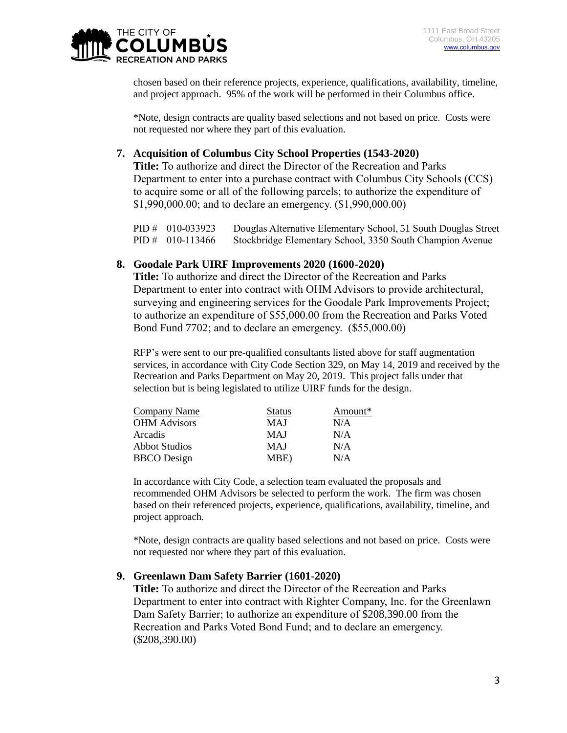

chosen based on their reference projects, experience, qualifications, availability, timeline, and project approach. 95% of the work will be performed in their Columbus office.

\*Note, design contracts are quality based selections and not based on price. Costs were not requested nor where they part of this evaluation.

## **7. Acquisition of Columbus City School Properties (1543-2020)**

**Title:** To authorize and direct the Director of the Recreation and Parks Department to enter into a purchase contract with Columbus City Schools (CCS) to acquire some or all of the following parcels; to authorize the expenditure of \$1,990,000.00; and to declare an emergency. (\$1,990,000.00)

| PID # $010-033923$ | Douglas Alternative Elementary School, 51 South Douglas Street |
|--------------------|----------------------------------------------------------------|
| $PID # 010-113466$ | Stockbridge Elementary School, 3350 South Champion Avenue      |

#### **8. Goodale Park UIRF Improvements 2020 (1600-2020)**

**Title:** To authorize and direct the Director of the Recreation and Parks Department to enter into contract with OHM Advisors to provide architectural, surveying and engineering services for the Goodale Park Improvements Project; to authorize an expenditure of \$55,000.00 from the Recreation and Parks Voted Bond Fund 7702; and to declare an emergency. (\$55,000.00)

RFP's were sent to our pre-qualified consultants listed above for staff augmentation services, in accordance with City Code Section 329, on May 14, 2019 and received by the Recreation and Parks Department on May 20, 2019. This project falls under that selection but is being legislated to utilize UIRF funds for the design.

| <b>Status</b> | Amount* |
|---------------|---------|
| <b>MAJ</b>    | N/A     |
| <b>MAJ</b>    | N/A     |
| <b>MAJ</b>    | N/A     |
| MBE)          | N/A     |
|               |         |

In accordance with City Code, a selection team evaluated the proposals and recommended OHM Advisors be selected to perform the work. The firm was chosen based on their referenced projects, experience, qualifications, availability, timeline, and project approach.

\*Note, design contracts are quality based selections and not based on price. Costs were not requested nor where they part of this evaluation.

#### **9. Greenlawn Dam Safety Barrier (1601-2020)**

**Title:** To authorize and direct the Director of the Recreation and Parks Department to enter into contract with Righter Company, Inc. for the Greenlawn Dam Safety Barrier; to authorize an expenditure of \$208,390.00 from the Recreation and Parks Voted Bond Fund; and to declare an emergency. (\$208,390.00)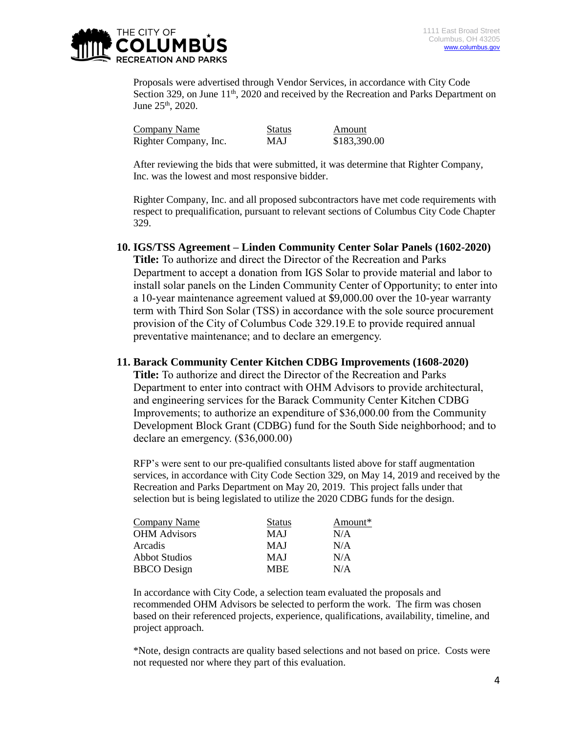

Proposals were advertised through Vendor Services, in accordance with City Code Section 329, on June  $11<sup>th</sup>$ , 2020 and received by the Recreation and Parks Department on June  $25^{\text{th}}$ , 2020.

| Company Name          | <b>Status</b> | Amount       |
|-----------------------|---------------|--------------|
| Righter Company, Inc. | MAJ           | \$183,390.00 |

After reviewing the bids that were submitted, it was determine that Righter Company, Inc. was the lowest and most responsive bidder.

Righter Company, Inc. and all proposed subcontractors have met code requirements with respect to prequalification, pursuant to relevant sections of Columbus City Code Chapter 329.

#### **10. IGS/TSS Agreement – Linden Community Center Solar Panels (1602-2020)**

**Title:** To authorize and direct the Director of the Recreation and Parks Department to accept a donation from IGS Solar to provide material and labor to install solar panels on the Linden Community Center of Opportunity; to enter into a 10-year maintenance agreement valued at \$9,000.00 over the 10-year warranty term with Third Son Solar (TSS) in accordance with the sole source procurement provision of the City of Columbus Code 329.19.E to provide required annual preventative maintenance; and to declare an emergency.

#### **11. Barack Community Center Kitchen CDBG Improvements (1608-2020)**

**Title:** To authorize and direct the Director of the Recreation and Parks Department to enter into contract with OHM Advisors to provide architectural, and engineering services for the Barack Community Center Kitchen CDBG Improvements; to authorize an expenditure of \$36,000.00 from the Community Development Block Grant (CDBG) fund for the South Side neighborhood; and to declare an emergency. (\$36,000.00)

RFP's were sent to our pre-qualified consultants listed above for staff augmentation services, in accordance with City Code Section 329, on May 14, 2019 and received by the Recreation and Parks Department on May 20, 2019. This project falls under that selection but is being legislated to utilize the 2020 CDBG funds for the design.

| Company Name         | <b>Status</b> | Amount* |
|----------------------|---------------|---------|
| <b>OHM</b> Advisors  | MAJ           | N/A     |
| Arcadis              | MAJ           | N/A     |
| <b>Abbot Studios</b> | MAJ           | N/A     |
| <b>BBCO</b> Design   | <b>MRE</b>    | N/A     |
|                      |               |         |

In accordance with City Code, a selection team evaluated the proposals and recommended OHM Advisors be selected to perform the work. The firm was chosen based on their referenced projects, experience, qualifications, availability, timeline, and project approach.

\*Note, design contracts are quality based selections and not based on price. Costs were not requested nor where they part of this evaluation.